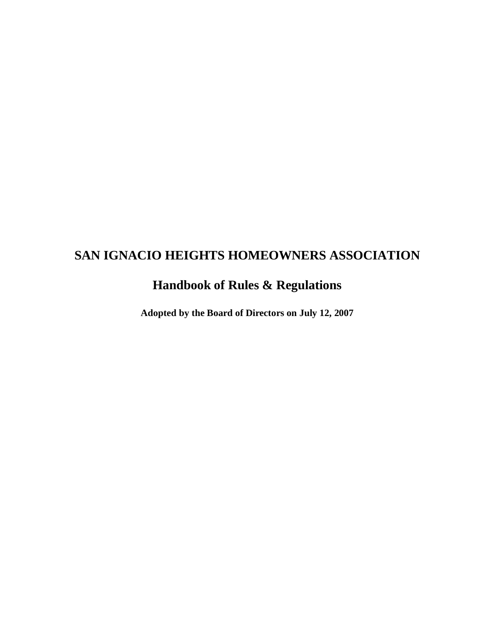# **SAN IGNACIO HEIGHTS HOMEOWNERS ASSOCIATION**

## **Handbook of Rules & Regulations**

**Adopted by the Board of Directors on July 12, 2007**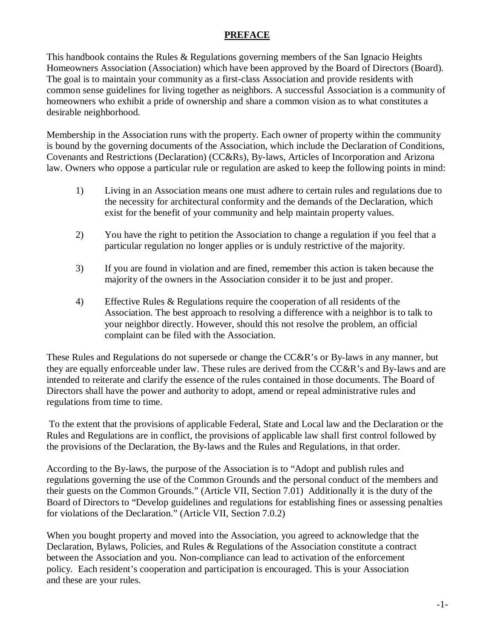## **PREFACE**

This handbook contains the Rules & Regulations governing members of the San Ignacio Heights Homeowners Association (Association) which have been approved by the Board of Directors (Board). The goal is to maintain your community as a first-class Association and provide residents with common sense guidelines for living together as neighbors. A successful Association is a community of homeowners who exhibit a pride of ownership and share a common vision as to what constitutes a desirable neighborhood.

Membership in the Association runs with the property. Each owner of property within the community is bound by the governing documents of the Association, which include the Declaration of Conditions, Covenants and Restrictions (Declaration) (CC&Rs), By-laws, Articles of Incorporation and Arizona law. Owners who oppose a particular rule or regulation are asked to keep the following points in mind:

- 1) Living in an Association means one must adhere to certain rules and regulations due to the necessity for architectural conformity and the demands of the Declaration, which exist for the benefit of your community and help maintain property values.
- 2) You have the right to petition the Association to change a regulation if you feel that a particular regulation no longer applies or is unduly restrictive of the majority.
- 3) If you are found in violation and are fined, remember this action is taken because the majority of the owners in the Association consider it to be just and proper.
- 4) Effective Rules & Regulations require the cooperation of all residents of the Association. The best approach to resolving a difference with a neighbor is to talk to your neighbor directly. However, should this not resolve the problem, an official complaint can be filed with the Association.

These Rules and Regulations do not supersede or change the CC&R's or By-laws in any manner, but they are equally enforceable under law. These rules are derived from the CC&R's and By-laws and are intended to reiterate and clarify the essence of the rules contained in those documents. The Board of Directors shall have the power and authority to adopt, amend or repeal administrative rules and regulations from time to time.

To the extent that the provisions of applicable Federal, State and Local law and the Declaration or the Rules and Regulations are in conflict, the provisions of applicable law shall first control followed by the provisions of the Declaration, the By-laws and the Rules and Regulations, in that order.

According to the By-laws, the purpose of the Association is to "Adopt and publish rules and regulations governing the use of the Common Grounds and the personal conduct of the members and their guests on the Common Grounds." (Article VII, Section 7.01) Additionally it is the duty of the Board of Directors to "Develop guidelines and regulations for establishing fines or assessing penalties for violations of the Declaration." (Article VII, Section 7.0.2)

When you bought property and moved into the Association, you agreed to acknowledge that the Declaration, Bylaws, Policies, and Rules & Regulations of the Association constitute a contract between the Association and you. Non-compliance can lead to activation of the enforcement policy. Each resident's cooperation and participation is encouraged. This is your Association and these are your rules.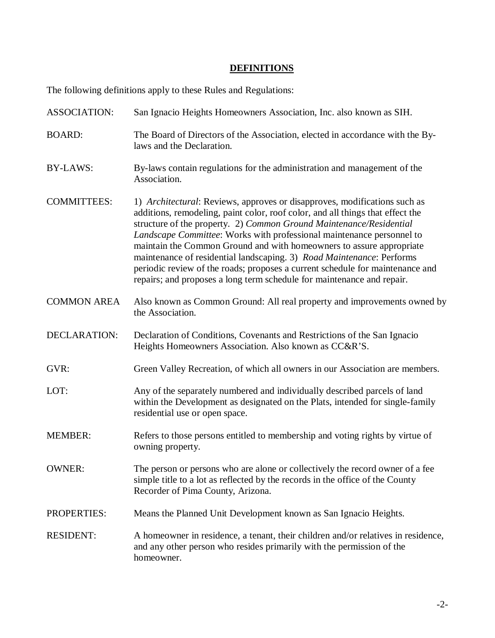## **DEFINITIONS**

The following definitions apply to these Rules and Regulations:

| <b>ASSOCIATION:</b> | San Ignacio Heights Homeowners Association, Inc. also known as SIH.                                                                                                                                                                                                                                                                                                                                                                                                                                                                                                                                                            |
|---------------------|--------------------------------------------------------------------------------------------------------------------------------------------------------------------------------------------------------------------------------------------------------------------------------------------------------------------------------------------------------------------------------------------------------------------------------------------------------------------------------------------------------------------------------------------------------------------------------------------------------------------------------|
| <b>BOARD:</b>       | The Board of Directors of the Association, elected in accordance with the By-<br>laws and the Declaration.                                                                                                                                                                                                                                                                                                                                                                                                                                                                                                                     |
| <b>BY-LAWS:</b>     | By-laws contain regulations for the administration and management of the<br>Association.                                                                                                                                                                                                                                                                                                                                                                                                                                                                                                                                       |
| <b>COMMITTEES:</b>  | 1) <i>Architectural:</i> Reviews, approves or disapproves, modifications such as<br>additions, remodeling, paint color, roof color, and all things that effect the<br>structure of the property. 2) Common Ground Maintenance/Residential<br>Landscape Committee: Works with professional maintenance personnel to<br>maintain the Common Ground and with homeowners to assure appropriate<br>maintenance of residential landscaping. 3) Road Maintenance: Performs<br>periodic review of the roads; proposes a current schedule for maintenance and<br>repairs; and proposes a long term schedule for maintenance and repair. |
| <b>COMMON AREA</b>  | Also known as Common Ground: All real property and improvements owned by<br>the Association.                                                                                                                                                                                                                                                                                                                                                                                                                                                                                                                                   |
| <b>DECLARATION:</b> | Declaration of Conditions, Covenants and Restrictions of the San Ignacio<br>Heights Homeowners Association. Also known as CC&R'S.                                                                                                                                                                                                                                                                                                                                                                                                                                                                                              |
| GVR:                | Green Valley Recreation, of which all owners in our Association are members.                                                                                                                                                                                                                                                                                                                                                                                                                                                                                                                                                   |
| LOT:                | Any of the separately numbered and individually described parcels of land<br>within the Development as designated on the Plats, intended for single-family<br>residential use or open space.                                                                                                                                                                                                                                                                                                                                                                                                                                   |
| <b>MEMBER:</b>      | Refers to those persons entitled to membership and voting rights by virtue of<br>owning property.                                                                                                                                                                                                                                                                                                                                                                                                                                                                                                                              |
| <b>OWNER:</b>       | The person or persons who are alone or collectively the record owner of a fee<br>simple title to a lot as reflected by the records in the office of the County<br>Recorder of Pima County, Arizona.                                                                                                                                                                                                                                                                                                                                                                                                                            |
| <b>PROPERTIES:</b>  | Means the Planned Unit Development known as San Ignacio Heights.                                                                                                                                                                                                                                                                                                                                                                                                                                                                                                                                                               |
| <b>RESIDENT:</b>    | A homeowner in residence, a tenant, their children and/or relatives in residence,<br>and any other person who resides primarily with the permission of the<br>homeowner.                                                                                                                                                                                                                                                                                                                                                                                                                                                       |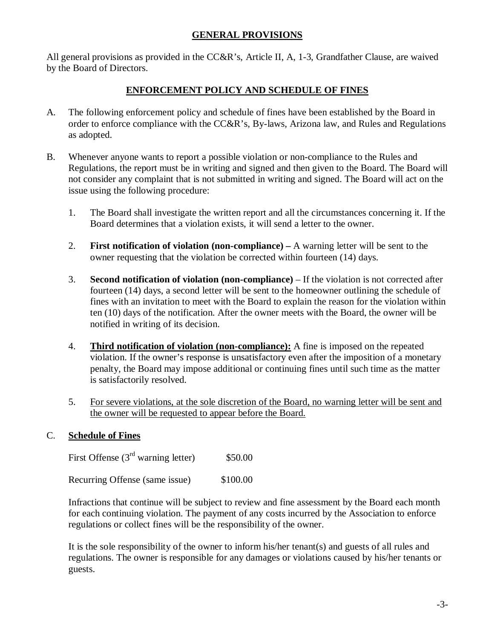#### **GENERAL PROVISIONS**

All general provisions as provided in the CC&R's, Article II, A, 1-3, Grandfather Clause, are waived by the Board of Directors.

#### **ENFORCEMENT POLICY AND SCHEDULE OF FINES**

- A. The following enforcement policy and schedule of fines have been established by the Board in order to enforce compliance with the CC&R's, By-laws, Arizona law, and Rules and Regulations as adopted.
- B. Whenever anyone wants to report a possible violation or non-compliance to the Rules and Regulations, the report must be in writing and signed and then given to the Board. The Board will not consider any complaint that is not submitted in writing and signed. The Board will act on the issue using the following procedure:
	- 1. The Board shall investigate the written report and all the circumstances concerning it. If the Board determines that a violation exists, it will send a letter to the owner.
	- 2. **First notification of violation (non-compliance) –** A warning letter will be sent to the owner requesting that the violation be corrected within fourteen (14) days.
	- 3. **Second notification of violation (non-compliance)**  If the violation is not corrected after fourteen (14) days, a second letter will be sent to the homeowner outlining the schedule of fines with an invitation to meet with the Board to explain the reason for the violation within ten (10) days of the notification. After the owner meets with the Board, the owner will be notified in writing of its decision.
	- 4. **Third notification of violation (non-compliance):** A fine is imposed on the repeated violation. If the owner's response is unsatisfactory even after the imposition of a monetary penalty, the Board may impose additional or continuing fines until such time as the matter is satisfactorily resolved.
	- 5. For severe violations, at the sole discretion of the Board, no warning letter will be sent and the owner will be requested to appear before the Board.

#### C. **Schedule of Fines**

First Offense (3<sup>rd</sup> warning letter) \$50.00

Recurring Offense (same issue) \$100.00

Infractions that continue will be subject to review and fine assessment by the Board each month for each continuing violation. The payment of any costs incurred by the Association to enforce regulations or collect fines will be the responsibility of the owner.

It is the sole responsibility of the owner to inform his/her tenant(s) and guests of all rules and regulations. The owner is responsible for any damages or violations caused by his/her tenants or guests.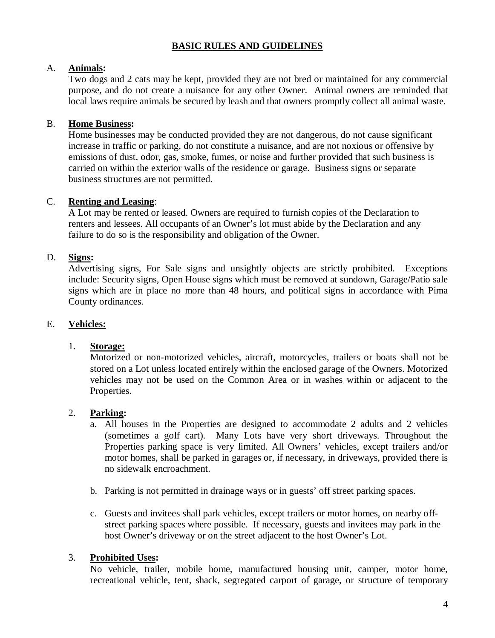## **BASIC RULES AND GUIDELINES**

#### A. **Animals:**

Two dogs and 2 cats may be kept, provided they are not bred or maintained for any commercial purpose, and do not create a nuisance for any other Owner. Animal owners are reminded that local laws require animals be secured by leash and that owners promptly collect all animal waste.

## B. **Home Business:**

Home businesses may be conducted provided they are not dangerous, do not cause significant increase in traffic or parking, do not constitute a nuisance, and are not noxious or offensive by emissions of dust, odor, gas, smoke, fumes, or noise and further provided that such business is carried on within the exterior walls of the residence or garage. Business signs or separate business structures are not permitted.

## C. **Renting and Leasing**:

A Lot may be rented or leased. Owners are required to furnish copies of the Declaration to renters and lessees. All occupants of an Owner's lot must abide by the Declaration and any failure to do so is the responsibility and obligation of the Owner.

## D. **Signs:**

Advertising signs, For Sale signs and unsightly objects are strictly prohibited. Exceptions include: Security signs, Open House signs which must be removed at sundown, Garage/Patio sale signs which are in place no more than 48 hours, and political signs in accordance with Pima County ordinances.

#### E. **Vehicles:**

#### 1. **Storage:**

Motorized or non-motorized vehicles, aircraft, motorcycles, trailers or boats shall not be stored on a Lot unless located entirely within the enclosed garage of the Owners. Motorized vehicles may not be used on the Common Area or in washes within or adjacent to the Properties.

#### 2. **Parking:**

- a. All houses in the Properties are designed to accommodate 2 adults and 2 vehicles (sometimes a golf cart). Many Lots have very short driveways. Throughout the Properties parking space is very limited. All Owners' vehicles, except trailers and/or motor homes, shall be parked in garages or, if necessary, in driveways, provided there is no sidewalk encroachment.
- b. Parking is not permitted in drainage ways or in guests' off street parking spaces.
- c. Guests and invitees shall park vehicles, except trailers or motor homes, on nearby offstreet parking spaces where possible. If necessary, guests and invitees may park in the host Owner's driveway or on the street adjacent to the host Owner's Lot.

#### 3. **Prohibited Uses:**

No vehicle, trailer, mobile home, manufactured housing unit, camper, motor home, recreational vehicle, tent, shack, segregated carport of garage, or structure of temporary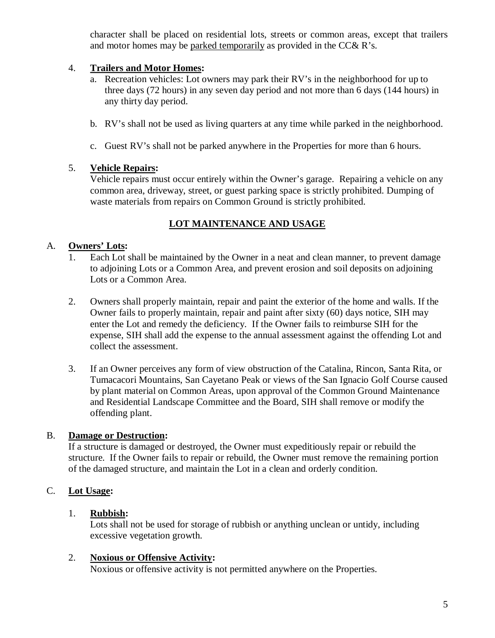character shall be placed on residential lots, streets or common areas, except that trailers and motor homes may be parked temporarily as provided in the CC& R's.

#### 4. **Trailers and Motor Homes:**

- a. Recreation vehicles: Lot owners may park their RV's in the neighborhood for up to three days (72 hours) in any seven day period and not more than 6 days (144 hours) in any thirty day period.
- b. RV's shall not be used as living quarters at any time while parked in the neighborhood.
- c. Guest RV's shall not be parked anywhere in the Properties for more than 6 hours.

## 5. **Vehicle Repairs:**

Vehicle repairs must occur entirely within the Owner's garage. Repairing a vehicle on any common area, driveway, street, or guest parking space is strictly prohibited. Dumping of waste materials from repairs on Common Ground is strictly prohibited.

## **LOT MAINTENANCE AND USAGE**

## A. **Owners' Lots:**

- 1. Each Lot shall be maintained by the Owner in a neat and clean manner, to prevent damage to adjoining Lots or a Common Area, and prevent erosion and soil deposits on adjoining Lots or a Common Area.
- 2. Owners shall properly maintain, repair and paint the exterior of the home and walls. If the Owner fails to properly maintain, repair and paint after sixty (60) days notice, SIH may enter the Lot and remedy the deficiency. If the Owner fails to reimburse SIH for the expense, SIH shall add the expense to the annual assessment against the offending Lot and collect the assessment.
- 3. If an Owner perceives any form of view obstruction of the Catalina, Rincon, Santa Rita, or Tumacacori Mountains, San Cayetano Peak or views of the San Ignacio Golf Course caused by plant material on Common Areas, upon approval of the Common Ground Maintenance and Residential Landscape Committee and the Board, SIH shall remove or modify the offending plant.

## B. **Damage or Destruction:**

If a structure is damaged or destroyed, the Owner must expeditiously repair or rebuild the structure. If the Owner fails to repair or rebuild, the Owner must remove the remaining portion of the damaged structure, and maintain the Lot in a clean and orderly condition.

## C. **Lot Usage:**

## 1. **Rubbish:**

Lots shall not be used for storage of rubbish or anything unclean or untidy, including excessive vegetation growth.

#### 2. **Noxious or Offensive Activity:**

Noxious or offensive activity is not permitted anywhere on the Properties.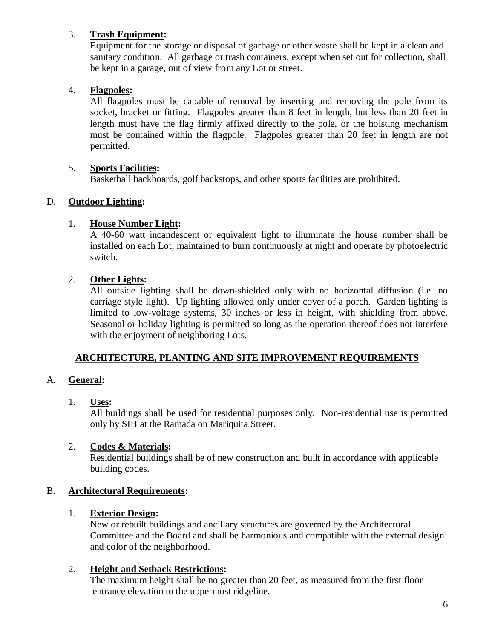## 3. **Trash Equipment:**

Equipment for the storage or disposal of garbage or other waste shall be kept in a clean and sanitary condition. All garbage or trash containers, except when set out for collection, shall be kept in a garage, out of view from any Lot or street.

## 4. **Flagpoles:**

All flagpoles must be capable of removal by inserting and removing the pole from its socket, bracket or fitting. Flagpoles greater than 8 feet in length, but less than 20 feet in length must have the flag firmly affixed directly to the pole, or the hoisting mechanism must be contained within the flagpole. Flagpoles greater than 20 feet in length are not permitted.

## 5. **Sports Facilities:**

Basketball backboards, golf backstops, and other sports facilities are prohibited.

## D. **Outdoor Lighting:**

## 1. **House Number Light:**

A 40-60 watt incandescent or equivalent light to illuminate the house number shall be installed on each Lot, maintained to burn continuously at night and operate by photoelectric switch.

## 2. **Other Lights:**

All outside lighting shall be down-shielded only with no horizontal diffusion (i.e. no carriage style light). Up lighting allowed only under cover of a porch. Garden lighting is limited to low-voltage systems, 30 inches or less in height, with shielding from above. Seasonal or holiday lighting is permitted so long as the operation thereof does not interfere with the enjoyment of neighboring Lots.

## **ARCHITECTURE, PLANTING AND SITE IMPROVEMENT REQUIREMENTS**

## A. **General:**

#### 1. **Uses:**

All buildings shall be used for residential purposes only. Non-residential use is permitted only by SIH at the Ramada on Mariquita Street.

#### 2. **Codes & Materials:**

Residential buildings shall be of new construction and built in accordance with applicable building codes.

## B. **Architectural Requirements:**

#### 1. **Exterior Design:**

New or rebuilt buildings and ancillary structures are governed by the Architectural Committee and the Board and shall be harmonious and compatible with the external design and color of the neighborhood.

## 2. **Height and Setback Restrictions:**

The maximum height shall be no greater than 20 feet, as measured from the first floor entrance elevation to the uppermost ridgeline.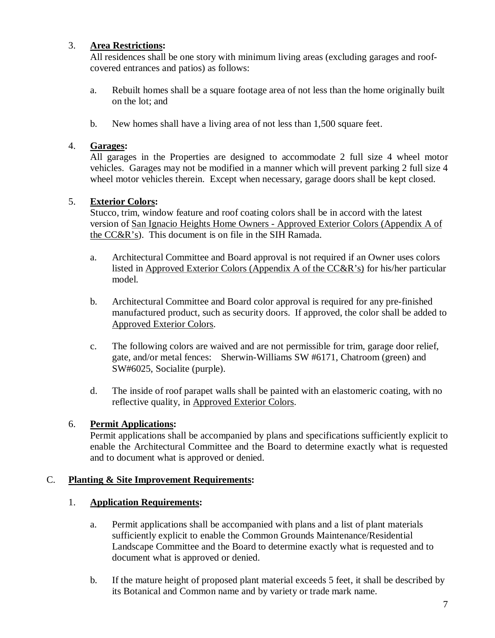## 3. **Area Restrictions:**

All residences shall be one story with minimum living areas (excluding garages and roofcovered entrances and patios) as follows:

- a. Rebuilt homes shall be a square footage area of not less than the home originally built on the lot; and
- b. New homes shall have a living area of not less than 1,500 square feet.

## 4. **Garages:**

All garages in the Properties are designed to accommodate 2 full size 4 wheel motor vehicles. Garages may not be modified in a manner which will prevent parking 2 full size 4 wheel motor vehicles therein. Except when necessary, garage doors shall be kept closed.

## 5. **Exterior Colors:**

Stucco, trim, window feature and roof coating colors shall be in accord with the latest version of San Ignacio Heights Home Owners - Approved Exterior Colors (Appendix A of the CC&R's). This document is on file in the SIH Ramada.

- a. Architectural Committee and Board approval is not required if an Owner uses colors listed in Approved Exterior Colors (Appendix A of the CC&R's) for his/her particular model.
- b. Architectural Committee and Board color approval is required for any pre-finished manufactured product, such as security doors. If approved, the color shall be added to Approved Exterior Colors.
- c. The following colors are waived and are not permissible for trim, garage door relief, gate, and/or metal fences: Sherwin-Williams SW #6171, Chatroom (green) and SW#6025, Socialite (purple).
- d. The inside of roof parapet walls shall be painted with an elastomeric coating, with no reflective quality, in Approved Exterior Colors.

## 6. **Permit Applications:**

Permit applications shall be accompanied by plans and specifications sufficiently explicit to enable the Architectural Committee and the Board to determine exactly what is requested and to document what is approved or denied.

#### C. **Planting & Site Improvement Requirements:**

## 1. **Application Requirements:**

- a. Permit applications shall be accompanied with plans and a list of plant materials sufficiently explicit to enable the Common Grounds Maintenance/Residential Landscape Committee and the Board to determine exactly what is requested and to document what is approved or denied.
- b. If the mature height of proposed plant material exceeds 5 feet, it shall be described by its Botanical and Common name and by variety or trade mark name.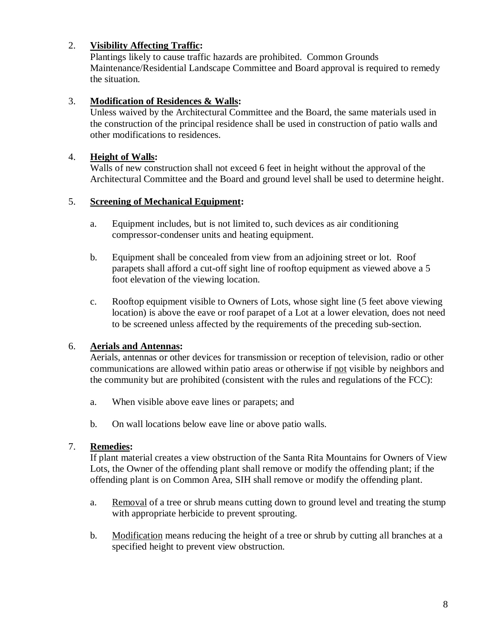## 2. **Visibility Affecting Traffic:**

Plantings likely to cause traffic hazards are prohibited. Common Grounds Maintenance/Residential Landscape Committee and Board approval is required to remedy the situation.

## 3. **Modification of Residences & Walls:**

Unless waived by the Architectural Committee and the Board, the same materials used in the construction of the principal residence shall be used in construction of patio walls and other modifications to residences.

#### 4. **Height of Walls:**

Walls of new construction shall not exceed 6 feet in height without the approval of the Architectural Committee and the Board and ground level shall be used to determine height.

## 5. **Screening of Mechanical Equipment:**

- a. Equipment includes, but is not limited to, such devices as air conditioning compressor-condenser units and heating equipment.
- b. Equipment shall be concealed from view from an adjoining street or lot. Roof parapets shall afford a cut-off sight line of rooftop equipment as viewed above a 5 foot elevation of the viewing location.
- c. Rooftop equipment visible to Owners of Lots, whose sight line (5 feet above viewing location) is above the eave or roof parapet of a Lot at a lower elevation, does not need to be screened unless affected by the requirements of the preceding sub-section.

## 6. **Aerials and Antennas:**

Aerials, antennas or other devices for transmission or reception of television, radio or other communications are allowed within patio areas or otherwise if not visible by neighbors and the community but are prohibited (consistent with the rules and regulations of the FCC):

- a. When visible above eave lines or parapets; and
- b. On wall locations below eave line or above patio walls.

#### 7. **Remedies:**

If plant material creates a view obstruction of the Santa Rita Mountains for Owners of View Lots, the Owner of the offending plant shall remove or modify the offending plant; if the offending plant is on Common Area, SIH shall remove or modify the offending plant.

- a. Removal of a tree or shrub means cutting down to ground level and treating the stump with appropriate herbicide to prevent sprouting.
- b. Modification means reducing the height of a tree or shrub by cutting all branches at a specified height to prevent view obstruction.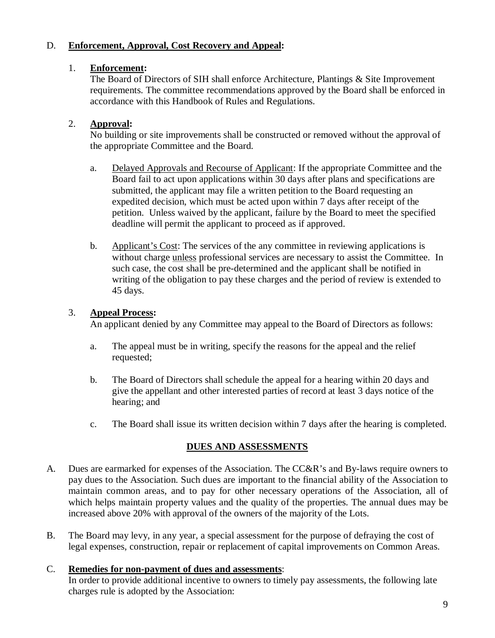## D. **Enforcement, Approval, Cost Recovery and Appeal:**

#### 1. **Enforcement:**

The Board of Directors of SIH shall enforce Architecture, Plantings & Site Improvement requirements. The committee recommendations approved by the Board shall be enforced in accordance with this Handbook of Rules and Regulations.

#### 2. **Approval:**

No building or site improvements shall be constructed or removed without the approval of the appropriate Committee and the Board.

- a. Delayed Approvals and Recourse of Applicant: If the appropriate Committee and the Board fail to act upon applications within 30 days after plans and specifications are submitted, the applicant may file a written petition to the Board requesting an expedited decision, which must be acted upon within 7 days after receipt of the petition. Unless waived by the applicant, failure by the Board to meet the specified deadline will permit the applicant to proceed as if approved.
- b. Applicant's Cost: The services of the any committee in reviewing applications is without charge unless professional services are necessary to assist the Committee. In such case, the cost shall be pre-determined and the applicant shall be notified in writing of the obligation to pay these charges and the period of review is extended to 45 days.

## 3. **Appeal Process:**

An applicant denied by any Committee may appeal to the Board of Directors as follows:

- a. The appeal must be in writing, specify the reasons for the appeal and the relief requested;
- b. The Board of Directors shall schedule the appeal for a hearing within 20 days and give the appellant and other interested parties of record at least 3 days notice of the hearing; and
- c. The Board shall issue its written decision within 7 days after the hearing is completed.

## **DUES AND ASSESSMENTS**

- A. Dues are earmarked for expenses of the Association. The CC&R's and By-laws require owners to pay dues to the Association. Such dues are important to the financial ability of the Association to maintain common areas, and to pay for other necessary operations of the Association, all of which helps maintain property values and the quality of the properties. The annual dues may be increased above 20% with approval of the owners of the majority of the Lots.
- B. The Board may levy, in any year, a special assessment for the purpose of defraying the cost of legal expenses, construction, repair or replacement of capital improvements on Common Areas.

## C. **Remedies for non-payment of dues and assessments**:

In order to provide additional incentive to owners to timely pay assessments, the following late charges rule is adopted by the Association: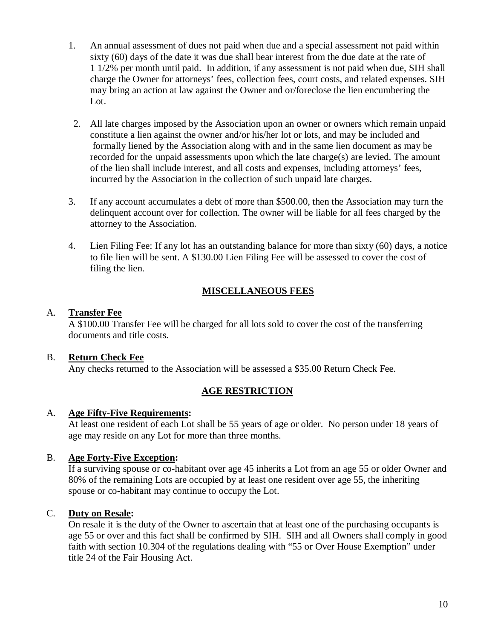- 1. An annual assessment of dues not paid when due and a special assessment not paid within sixty (60) days of the date it was due shall bear interest from the due date at the rate of 1 1/2% per month until paid. In addition, if any assessment is not paid when due, SIH shall charge the Owner for attorneys' fees, collection fees, court costs, and related expenses. SIH may bring an action at law against the Owner and or/foreclose the lien encumbering the Lot.
- 2. All late charges imposed by the Association upon an owner or owners which remain unpaid constitute a lien against the owner and/or his/her lot or lots, and may be included and formally liened by the Association along with and in the same lien document as may be recorded for the unpaid assessments upon which the late charge(s) are levied. The amount of the lien shall include interest, and all costs and expenses, including attorneys' fees, incurred by the Association in the collection of such unpaid late charges.
- 3. If any account accumulates a debt of more than \$500.00, then the Association may turn the delinquent account over for collection. The owner will be liable for all fees charged by the attorney to the Association.
- 4. Lien Filing Fee: If any lot has an outstanding balance for more than sixty (60) days, a notice to file lien will be sent. A \$130.00 Lien Filing Fee will be assessed to cover the cost of filing the lien.

## **MISCELLANEOUS FEES**

## A. **Transfer Fee**

A \$100.00 Transfer Fee will be charged for all lots sold to cover the cost of the transferring documents and title costs.

## B. **Return Check Fee**

Any checks returned to the Association will be assessed a \$35.00 Return Check Fee.

## **AGE RESTRICTION**

#### A. **Age Fifty-Five Requirements:**

At least one resident of each Lot shall be 55 years of age or older. No person under 18 years of age may reside on any Lot for more than three months.

#### B. **Age Forty-Five Exception:**

If a surviving spouse or co-habitant over age 45 inherits a Lot from an age 55 or older Owner and 80% of the remaining Lots are occupied by at least one resident over age 55, the inheriting spouse or co-habitant may continue to occupy the Lot.

#### C. **Duty on Resale:**

On resale it is the duty of the Owner to ascertain that at least one of the purchasing occupants is age 55 or over and this fact shall be confirmed by SIH. SIH and all Owners shall comply in good faith with section 10.304 of the regulations dealing with "55 or Over House Exemption" under title 24 of the Fair Housing Act.